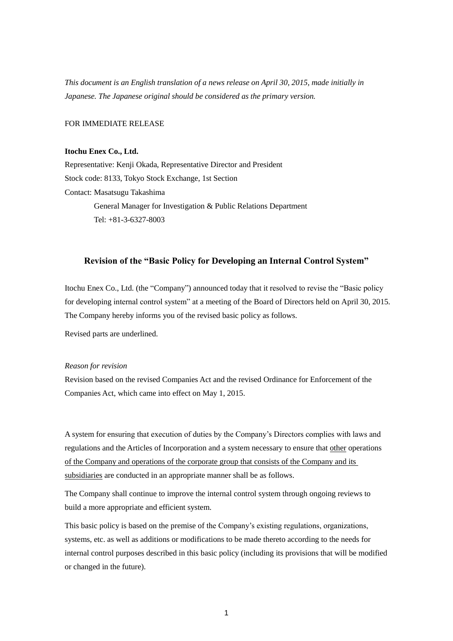*This document is an English translation of a news release on April 30, 2015, made initially in Japanese. The Japanese original should be considered as the primary version.*

## FOR IMMEDIATE RELEASE

## **Itochu Enex Co., Ltd.**

Representative: Kenji Okada, Representative Director and President Stock code: 8133, Tokyo Stock Exchange, 1st Section Contact: Masatsugu Takashima General Manager for Investigation & Public Relations Department Tel: +81-3-6327-8003

# **Revision of the "Basic Policy for Developing an Internal Control System"**

Itochu Enex Co., Ltd. (the "Company") announced today that it resolved to revise the "Basic policy for developing internal control system" at a meeting of the Board of Directors held on April 30, 2015. The Company hereby informs you of the revised basic policy as follows.

Revised parts are underlined.

## *Reason for revision*

Revision based on the revised Companies Act and the revised Ordinance for Enforcement of the Companies Act, which came into effect on May 1, 2015.

A system for ensuring that execution of duties by the Company's Directors complies with laws and regulations and the Articles of Incorporation and a system necessary to ensure that other operations of the Company and operations of the corporate group that consists of the Company and its subsidiaries are conducted in an appropriate manner shall be as follows.

The Company shall continue to improve the internal control system through ongoing reviews to build a more appropriate and efficient system.

This basic policy is based on the premise of the Company's existing regulations, organizations, systems, etc. as well as additions or modifications to be made thereto according to the needs for internal control purposes described in this basic policy (including its provisions that will be modified or changed in the future).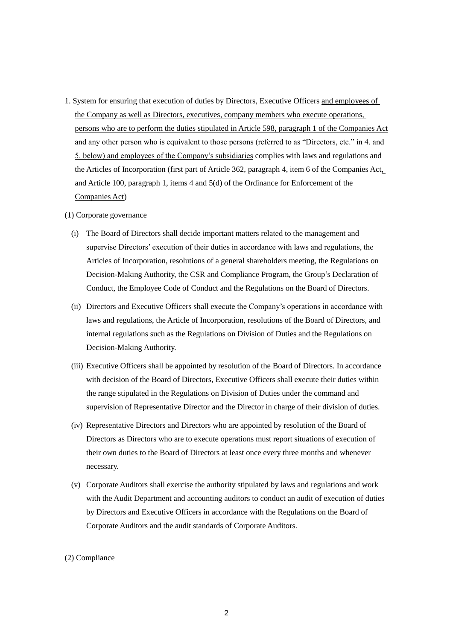1. System for ensuring that execution of duties by Directors, Executive Officers and employees of the Company as well as Directors, executives, company members who execute operations, persons who are to perform the duties stipulated in Article 598, paragraph 1 of the Companies Act and any other person who is equivalent to those persons (referred to as "Directors, etc." in 4. and 5. below) and employees of the Company's subsidiaries complies with laws and regulations and the Articles of Incorporation (first part of Article 362, paragraph 4, item 6 of the Companies Act, and Article 100, paragraph 1, items 4 and 5(d) of the Ordinance for Enforcement of the Companies Act)

#### (1) Corporate governance

- (i) The Board of Directors shall decide important matters related to the management and supervise Directors' execution of their duties in accordance with laws and regulations, the Articles of Incorporation, resolutions of a general shareholders meeting, the Regulations on Decision-Making Authority, the CSR and Compliance Program, the Group's Declaration of Conduct, the Employee Code of Conduct and the Regulations on the Board of Directors.
- (ii) Directors and Executive Officers shall execute the Company's operations in accordance with laws and regulations, the Article of Incorporation, resolutions of the Board of Directors, and internal regulations such as the Regulations on Division of Duties and the Regulations on Decision-Making Authority.
- (iii) Executive Officers shall be appointed by resolution of the Board of Directors. In accordance with decision of the Board of Directors, Executive Officers shall execute their duties within the range stipulated in the Regulations on Division of Duties under the command and supervision of Representative Director and the Director in charge of their division of duties.
- (iv) Representative Directors and Directors who are appointed by resolution of the Board of Directors as Directors who are to execute operations must report situations of execution of their own duties to the Board of Directors at least once every three months and whenever necessary.
- (v) Corporate Auditors shall exercise the authority stipulated by laws and regulations and work with the Audit Department and accounting auditors to conduct an audit of execution of duties by Directors and Executive Officers in accordance with the Regulations on the Board of Corporate Auditors and the audit standards of Corporate Auditors.

### (2) Compliance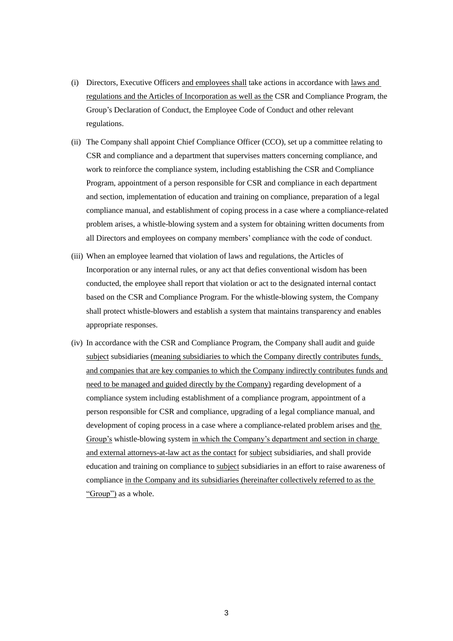- (i) Directors, Executive Officers and employees shall take actions in accordance with laws and regulations and the Articles of Incorporation as well as the CSR and Compliance Program, the Group's Declaration of Conduct, the Employee Code of Conduct and other relevant regulations.
- (ii) The Company shall appoint Chief Compliance Officer (CCO), set up a committee relating to CSR and compliance and a department that supervises matters concerning compliance, and work to reinforce the compliance system, including establishing the CSR and Compliance Program, appointment of a person responsible for CSR and compliance in each department and section, implementation of education and training on compliance, preparation of a legal compliance manual, and establishment of coping process in a case where a compliance-related problem arises, a whistle-blowing system and a system for obtaining written documents from all Directors and employees on company members' compliance with the code of conduct.
- (iii) When an employee learned that violation of laws and regulations, the Articles of Incorporation or any internal rules, or any act that defies conventional wisdom has been conducted, the employee shall report that violation or act to the designated internal contact based on the CSR and Compliance Program. For the whistle-blowing system, the Company shall protect whistle-blowers and establish a system that maintains transparency and enables appropriate responses.
- (iv) In accordance with the CSR and Compliance Program, the Company shall audit and guide subject subsidiaries (meaning subsidiaries to which the Company directly contributes funds, and companies that are key companies to which the Company indirectly contributes funds and need to be managed and guided directly by the Company) regarding development of a compliance system including establishment of a compliance program, appointment of a person responsible for CSR and compliance, upgrading of a legal compliance manual, and development of coping process in a case where a compliance-related problem arises and the Group's whistle-blowing system in which the Company's department and section in charge and external attorneys-at-law act as the contact for subject subsidiaries, and shall provide education and training on compliance to subject subsidiaries in an effort to raise awareness of compliance in the Company and its subsidiaries (hereinafter collectively referred to as the "Group") as a whole.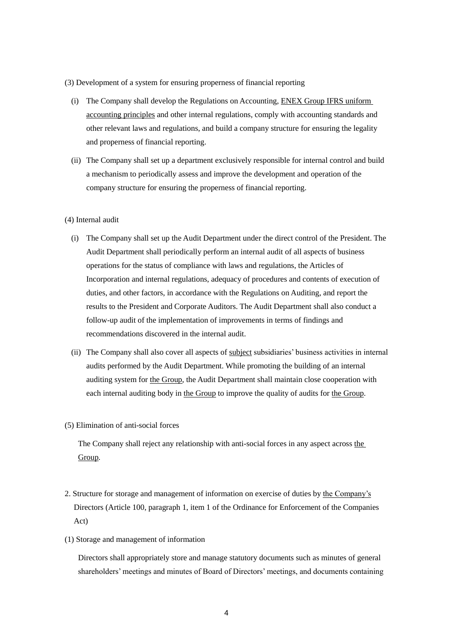- (3) Development of a system for ensuring properness of financial reporting
	- (i) The Company shall develop the Regulations on Accounting, ENEX Group IFRS uniform accounting principles and other internal regulations, comply with accounting standards and other relevant laws and regulations, and build a company structure for ensuring the legality and properness of financial reporting.
	- (ii) The Company shall set up a department exclusively responsible for internal control and build a mechanism to periodically assess and improve the development and operation of the company structure for ensuring the properness of financial reporting.

#### (4) Internal audit

- (i) The Company shall set up the Audit Department under the direct control of the President. The Audit Department shall periodically perform an internal audit of all aspects of business operations for the status of compliance with laws and regulations, the Articles of Incorporation and internal regulations, adequacy of procedures and contents of execution of duties, and other factors, in accordance with the Regulations on Auditing, and report the results to the President and Corporate Auditors. The Audit Department shall also conduct a follow-up audit of the implementation of improvements in terms of findings and recommendations discovered in the internal audit.
- (ii) The Company shall also cover all aspects of subject subsidiaries' business activities in internal audits performed by the Audit Department. While promoting the building of an internal auditing system for the Group, the Audit Department shall maintain close cooperation with each internal auditing body in the Group to improve the quality of audits for the Group.
- (5) Elimination of anti-social forces

The Company shall reject any relationship with anti-social forces in any aspect across the Group.

- 2. Structure for storage and management of information on exercise of duties by the Company's Directors (Article 100, paragraph 1, item 1 of the Ordinance for Enforcement of the Companies Act)
- (1) Storage and management of information

Directors shall appropriately store and manage statutory documents such as minutes of general shareholders' meetings and minutes of Board of Directors' meetings, and documents containing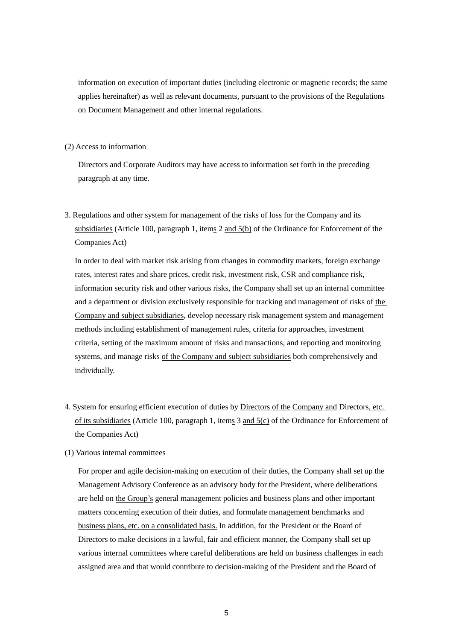information on execution of important duties (including electronic or magnetic records; the same applies hereinafter) as well as relevant documents, pursuant to the provisions of the Regulations on Document Management and other internal regulations.

## (2) Access to information

Directors and Corporate Auditors may have access to information set forth in the preceding paragraph at any time.

3. Regulations and other system for management of the risks of loss for the Company and its subsidiaries (Article 100, paragraph 1, items 2 and 5(b) of the Ordinance for Enforcement of the Companies Act)

In order to deal with market risk arising from changes in commodity markets, foreign exchange rates, interest rates and share prices, credit risk, investment risk, CSR and compliance risk, information security risk and other various risks, the Company shall set up an internal committee and a department or division exclusively responsible for tracking and management of risks of the Company and subject subsidiaries, develop necessary risk management system and management methods including establishment of management rules, criteria for approaches, investment criteria, setting of the maximum amount of risks and transactions, and reporting and monitoring systems, and manage risks of the Company and subject subsidiaries both comprehensively and individually.

- 4. System for ensuring efficient execution of duties by Directors of the Company and Directors, etc. of its subsidiaries (Article 100, paragraph 1, items 3 and 5(c) of the Ordinance for Enforcement of the Companies Act)
- (1) Various internal committees

For proper and agile decision-making on execution of their duties, the Company shall set up the Management Advisory Conference as an advisory body for the President, where deliberations are held on the Group's general management policies and business plans and other important matters concerning execution of their duties, and formulate management benchmarks and business plans, etc. on a consolidated basis. In addition, for the President or the Board of Directors to make decisions in a lawful, fair and efficient manner, the Company shall set up various internal committees where careful deliberations are held on business challenges in each assigned area and that would contribute to decision-making of the President and the Board of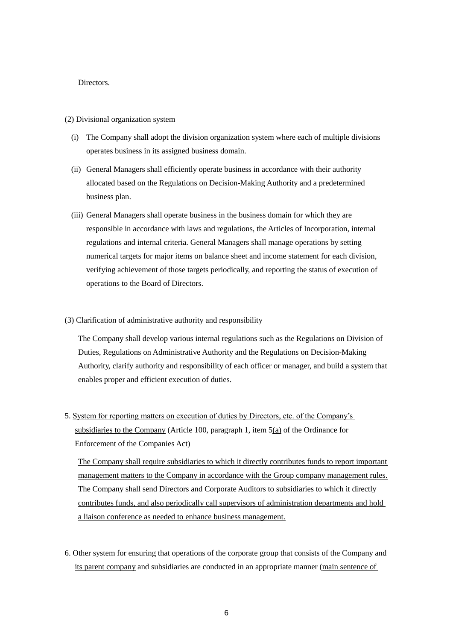### **Directors**

#### (2) Divisional organization system

- (i) The Company shall adopt the division organization system where each of multiple divisions operates business in its assigned business domain.
- (ii) General Managers shall efficiently operate business in accordance with their authority allocated based on the Regulations on Decision-Making Authority and a predetermined business plan.
- (iii) General Managers shall operate business in the business domain for which they are responsible in accordance with laws and regulations, the Articles of Incorporation, internal regulations and internal criteria. General Managers shall manage operations by setting numerical targets for major items on balance sheet and income statement for each division, verifying achievement of those targets periodically, and reporting the status of execution of operations to the Board of Directors.
- (3) Clarification of administrative authority and responsibility

The Company shall develop various internal regulations such as the Regulations on Division of Duties, Regulations on Administrative Authority and the Regulations on Decision-Making Authority, clarify authority and responsibility of each officer or manager, and build a system that enables proper and efficient execution of duties.

5. System for reporting matters on execution of duties by Directors, etc. of the Company's subsidiaries to the Company (Article 100, paragraph 1, item  $5(a)$  of the Ordinance for Enforcement of the Companies Act)

The Company shall require subsidiaries to which it directly contributes funds to report important management matters to the Company in accordance with the Group company management rules. The Company shall send Directors and Corporate Auditors to subsidiaries to which it directly contributes funds, and also periodically call supervisors of administration departments and hold a liaison conference as needed to enhance business management.

6. Other system for ensuring that operations of the corporate group that consists of the Company and its parent company and subsidiaries are conducted in an appropriate manner (main sentence of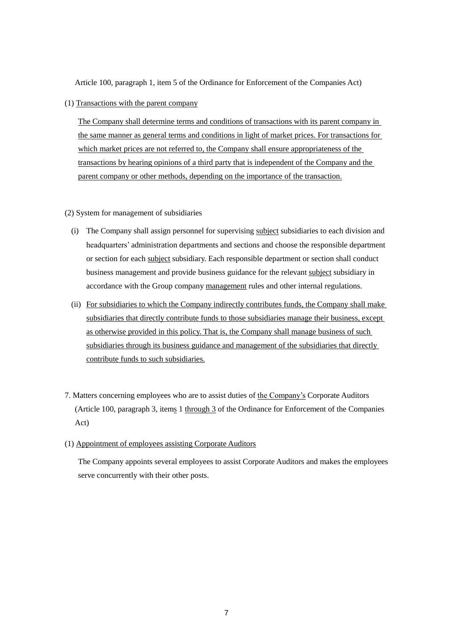Article 100, paragraph 1, item 5 of the Ordinance for Enforcement of the Companies Act)

(1) Transactions with the parent company

The Company shall determine terms and conditions of transactions with its parent company in the same manner as general terms and conditions in light of market prices. For transactions for which market prices are not referred to, the Company shall ensure appropriateness of the transactions by hearing opinions of a third party that is independent of the Company and the parent company or other methods, depending on the importance of the transaction.

# (2) System for management of subsidiaries

- (i) The Company shall assign personnel for supervising subject subsidiaries to each division and headquarters' administration departments and sections and choose the responsible department or section for each subject subsidiary. Each responsible department or section shall conduct business management and provide business guidance for the relevant subject subsidiary in accordance with the Group company management rules and other internal regulations.
- (ii) For subsidiaries to which the Company indirectly contributes funds, the Company shall make subsidiaries that directly contribute funds to those subsidiaries manage their business, except as otherwise provided in this policy. That is, the Company shall manage business of such subsidiaries through its business guidance and management of the subsidiaries that directly contribute funds to such subsidiaries.
- 7. Matters concerning employees who are to assist duties of the Company's Corporate Auditors (Article 100, paragraph 3, items 1 through  $3$  of the Ordinance for Enforcement of the Companies Act)
- (1) Appointment of employees assisting Corporate Auditors

The Company appoints several employees to assist Corporate Auditors and makes the employees serve concurrently with their other posts.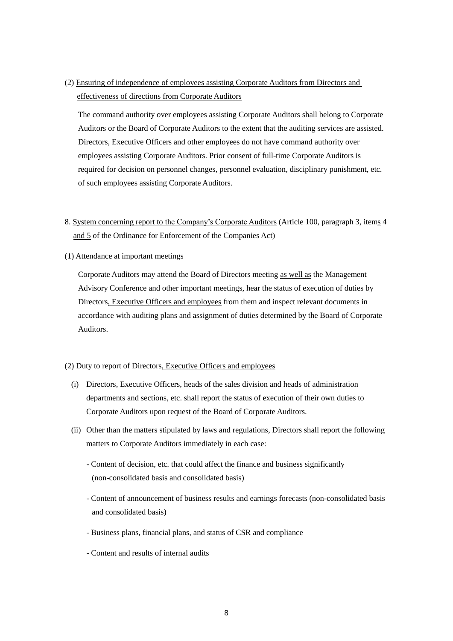(2) Ensuring of independence of employees assisting Corporate Auditors from Directors and effectiveness of directions from Corporate Auditors

The command authority over employees assisting Corporate Auditors shall belong to Corporate Auditors or the Board of Corporate Auditors to the extent that the auditing services are assisted. Directors, Executive Officers and other employees do not have command authority over employees assisting Corporate Auditors. Prior consent of full-time Corporate Auditors is required for decision on personnel changes, personnel evaluation, disciplinary punishment, etc. of such employees assisting Corporate Auditors.

- 8. System concerning report to the Company's Corporate Auditors (Article 100, paragraph 3, items 4 and 5 of the Ordinance for Enforcement of the Companies Act)
- (1) Attendance at important meetings

Corporate Auditors may attend the Board of Directors meeting as well as the Management Advisory Conference and other important meetings, hear the status of execution of duties by Directors, Executive Officers and employees from them and inspect relevant documents in accordance with auditing plans and assignment of duties determined by the Board of Corporate Auditors.

# (2) Duty to report of Directors, Executive Officers and employees

- (i) Directors, Executive Officers, heads of the sales division and heads of administration departments and sections, etc. shall report the status of execution of their own duties to Corporate Auditors upon request of the Board of Corporate Auditors.
- (ii) Other than the matters stipulated by laws and regulations, Directors shall report the following matters to Corporate Auditors immediately in each case:
	- Content of decision, etc. that could affect the finance and business significantly (non-consolidated basis and consolidated basis)
	- Content of announcement of business results and earnings forecasts (non-consolidated basis and consolidated basis)
	- Business plans, financial plans, and status of CSR and compliance
	- Content and results of internal audits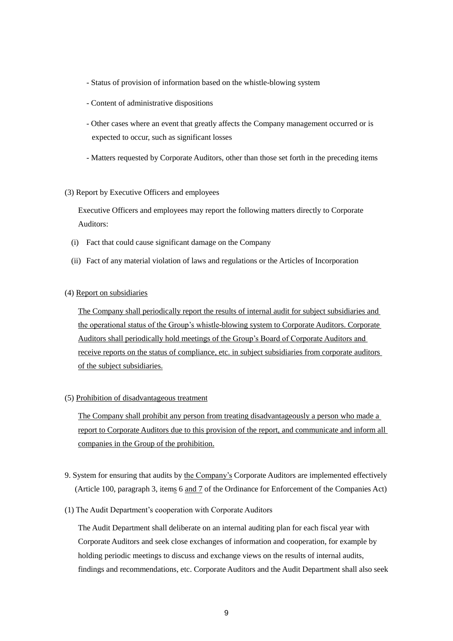- Status of provision of information based on the whistle-blowing system
- Content of administrative dispositions
- Other cases where an event that greatly affects the Company management occurred or is expected to occur, such as significant losses
- Matters requested by Corporate Auditors, other than those set forth in the preceding items
- (3) Report by Executive Officers and employees

Executive Officers and employees may report the following matters directly to Corporate Auditors:

- (i) Fact that could cause significant damage on the Company
- (ii) Fact of any material violation of laws and regulations or the Articles of Incorporation
- (4) Report on subsidiaries

The Company shall periodically report the results of internal audit for subject subsidiaries and the operational status of the Group's whistle-blowing system to Corporate Auditors. Corporate Auditors shall periodically hold meetings of the Group's Board of Corporate Auditors and receive reports on the status of compliance, etc. in subject subsidiaries from corporate auditors of the subject subsidiaries.

(5) Prohibition of disadvantageous treatment

The Company shall prohibit any person from treating disadvantageously a person who made a report to Corporate Auditors due to this provision of the report, and communicate and inform all companies in the Group of the prohibition.

- 9. System for ensuring that audits by the Company's Corporate Auditors are implemented effectively (Article 100, paragraph 3, items 6 and 7 of the Ordinance for Enforcement of the Companies Act)
- (1) The Audit Department's cooperation with Corporate Auditors

The Audit Department shall deliberate on an internal auditing plan for each fiscal year with Corporate Auditors and seek close exchanges of information and cooperation, for example by holding periodic meetings to discuss and exchange views on the results of internal audits, findings and recommendations, etc. Corporate Auditors and the Audit Department shall also seek